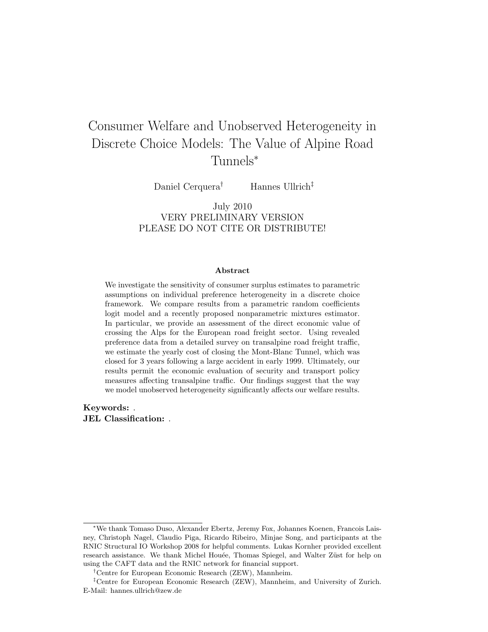# Consumer Welfare and Unobserved Heterogeneity in Discrete Choice Models: The Value of Alpine Road Tunnels<sup>∗</sup>

Daniel Cerquera<sup>†</sup> Hannes Ullrich<sup>‡</sup>

July 2010 VERY PRELIMINARY VERSION PLEASE DO NOT CITE OR DISTRIBUTE!

#### Abstract

We investigate the sensitivity of consumer surplus estimates to parametric assumptions on individual preference heterogeneity in a discrete choice framework. We compare results from a parametric random coefficients logit model and a recently proposed nonparametric mixtures estimator. In particular, we provide an assessment of the direct economic value of crossing the Alps for the European road freight sector. Using revealed preference data from a detailed survey on transalpine road freight traffic, we estimate the yearly cost of closing the Mont-Blanc Tunnel, which was closed for 3 years following a large accident in early 1999. Ultimately, our results permit the economic evaluation of security and transport policy measures affecting transalpine traffic. Our findings suggest that the way we model unobserved heterogeneity significantly affects our welfare results.

Keywords: . JEL Classification: .

<sup>∗</sup>We thank Tomaso Duso, Alexander Ebertz, Jeremy Fox, Johannes Koenen, Francois Laisney, Christoph Nagel, Claudio Piga, Ricardo Ribeiro, Minjae Song, and participants at the RNIC Structural IO Workshop 2008 for helpful comments. Lukas Kornher provided excellent research assistance. We thank Michel Houée, Thomas Spiegel, and Walter Züst for help on using the CAFT data and the RNIC network for financial support.

<sup>†</sup>Centre for European Economic Research (ZEW), Mannheim.

<sup>‡</sup>Centre for European Economic Research (ZEW), Mannheim, and University of Zurich. E-Mail: hannes.ullrich@zew.de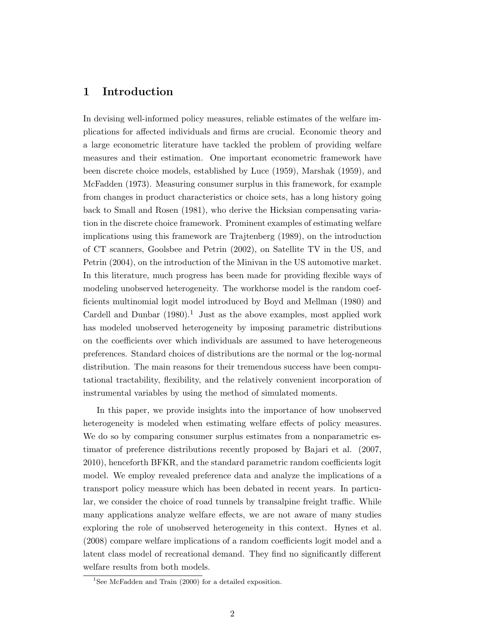### 1 Introduction

In devising well-informed policy measures, reliable estimates of the welfare implications for affected individuals and firms are crucial. Economic theory and a large econometric literature have tackled the problem of providing welfare measures and their estimation. One important econometric framework have been discrete choice models, established by Luce (1959), Marshak (1959), and McFadden (1973). Measuring consumer surplus in this framework, for example from changes in product characteristics or choice sets, has a long history going back to Small and Rosen (1981), who derive the Hicksian compensating variation in the discrete choice framework. Prominent examples of estimating welfare implications using this framework are Trajtenberg (1989), on the introduction of CT scanners, Goolsbee and Petrin (2002), on Satellite TV in the US, and Petrin (2004), on the introduction of the Minivan in the US automotive market. In this literature, much progress has been made for providing flexible ways of modeling unobserved heterogeneity. The workhorse model is the random coefficients multinomial logit model introduced by Boyd and Mellman (1980) and Cardell and Dunbar  $(1980).<sup>1</sup>$  Just as the above examples, most applied work has modeled unobserved heterogeneity by imposing parametric distributions on the coefficients over which individuals are assumed to have heterogeneous preferences. Standard choices of distributions are the normal or the log-normal distribution. The main reasons for their tremendous success have been computational tractability, flexibility, and the relatively convenient incorporation of instrumental variables by using the method of simulated moments.

In this paper, we provide insights into the importance of how unobserved heterogeneity is modeled when estimating welfare effects of policy measures. We do so by comparing consumer surplus estimates from a nonparametric estimator of preference distributions recently proposed by Bajari et al. (2007, 2010), henceforth BFKR, and the standard parametric random coefficients logit model. We employ revealed preference data and analyze the implications of a transport policy measure which has been debated in recent years. In particular, we consider the choice of road tunnels by transalpine freight traffic. While many applications analyze welfare effects, we are not aware of many studies exploring the role of unobserved heterogeneity in this context. Hynes et al. (2008) compare welfare implications of a random coefficients logit model and a latent class model of recreational demand. They find no significantly different welfare results from both models.

<sup>&</sup>lt;sup>1</sup>See McFadden and Train  $(2000)$  for a detailed exposition.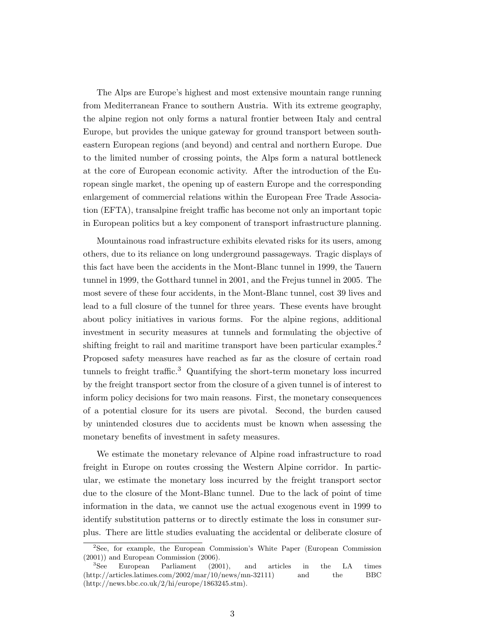The Alps are Europe's highest and most extensive mountain range running from Mediterranean France to southern Austria. With its extreme geography, the alpine region not only forms a natural frontier between Italy and central Europe, but provides the unique gateway for ground transport between southeastern European regions (and beyond) and central and northern Europe. Due to the limited number of crossing points, the Alps form a natural bottleneck at the core of European economic activity. After the introduction of the European single market, the opening up of eastern Europe and the corresponding enlargement of commercial relations within the European Free Trade Association (EFTA), transalpine freight traffic has become not only an important topic in European politics but a key component of transport infrastructure planning.

Mountainous road infrastructure exhibits elevated risks for its users, among others, due to its reliance on long underground passageways. Tragic displays of this fact have been the accidents in the Mont-Blanc tunnel in 1999, the Tauern tunnel in 1999, the Gotthard tunnel in 2001, and the Frejus tunnel in 2005. The most severe of these four accidents, in the Mont-Blanc tunnel, cost 39 lives and lead to a full closure of the tunnel for three years. These events have brought about policy initiatives in various forms. For the alpine regions, additional investment in security measures at tunnels and formulating the objective of shifting freight to rail and maritime transport have been particular examples.<sup>2</sup> Proposed safety measures have reached as far as the closure of certain road tunnels to freight traffic.<sup>3</sup> Quantifying the short-term monetary loss incurred by the freight transport sector from the closure of a given tunnel is of interest to inform policy decisions for two main reasons. First, the monetary consequences of a potential closure for its users are pivotal. Second, the burden caused by unintended closures due to accidents must be known when assessing the monetary benefits of investment in safety measures.

We estimate the monetary relevance of Alpine road infrastructure to road freight in Europe on routes crossing the Western Alpine corridor. In particular, we estimate the monetary loss incurred by the freight transport sector due to the closure of the Mont-Blanc tunnel. Due to the lack of point of time information in the data, we cannot use the actual exogenous event in 1999 to identify substitution patterns or to directly estimate the loss in consumer surplus. There are little studies evaluating the accidental or deliberate closure of

<sup>2</sup>See, for example, the European Commission's White Paper (European Commission (2001)) and European Commission (2006).

<sup>3</sup>See European Parliament (2001), and articles in the LA times (http://articles.latimes.com/2002/mar/10/news/mn-32111) and the BBC (http://news.bbc.co.uk/2/hi/europe/1863245.stm).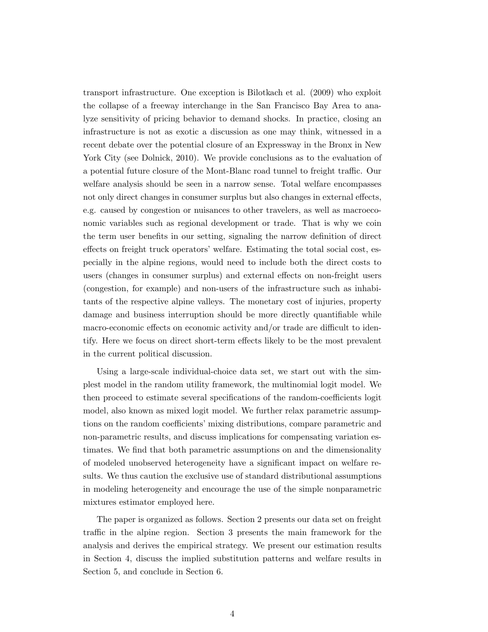transport infrastructure. One exception is Bilotkach et al. (2009) who exploit the collapse of a freeway interchange in the San Francisco Bay Area to analyze sensitivity of pricing behavior to demand shocks. In practice, closing an infrastructure is not as exotic a discussion as one may think, witnessed in a recent debate over the potential closure of an Expressway in the Bronx in New York City (see Dolnick, 2010). We provide conclusions as to the evaluation of a potential future closure of the Mont-Blanc road tunnel to freight traffic. Our welfare analysis should be seen in a narrow sense. Total welfare encompasses not only direct changes in consumer surplus but also changes in external effects, e.g. caused by congestion or nuisances to other travelers, as well as macroeconomic variables such as regional development or trade. That is why we coin the term user benefits in our setting, signaling the narrow definition of direct effects on freight truck operators' welfare. Estimating the total social cost, especially in the alpine regions, would need to include both the direct costs to users (changes in consumer surplus) and external effects on non-freight users (congestion, for example) and non-users of the infrastructure such as inhabitants of the respective alpine valleys. The monetary cost of injuries, property damage and business interruption should be more directly quantifiable while macro-economic effects on economic activity and/or trade are difficult to identify. Here we focus on direct short-term effects likely to be the most prevalent in the current political discussion.

Using a large-scale individual-choice data set, we start out with the simplest model in the random utility framework, the multinomial logit model. We then proceed to estimate several specifications of the random-coefficients logit model, also known as mixed logit model. We further relax parametric assumptions on the random coefficients' mixing distributions, compare parametric and non-parametric results, and discuss implications for compensating variation estimates. We find that both parametric assumptions on and the dimensionality of modeled unobserved heterogeneity have a significant impact on welfare results. We thus caution the exclusive use of standard distributional assumptions in modeling heterogeneity and encourage the use of the simple nonparametric mixtures estimator employed here.

The paper is organized as follows. Section 2 presents our data set on freight traffic in the alpine region. Section 3 presents the main framework for the analysis and derives the empirical strategy. We present our estimation results in Section 4, discuss the implied substitution patterns and welfare results in Section 5, and conclude in Section 6.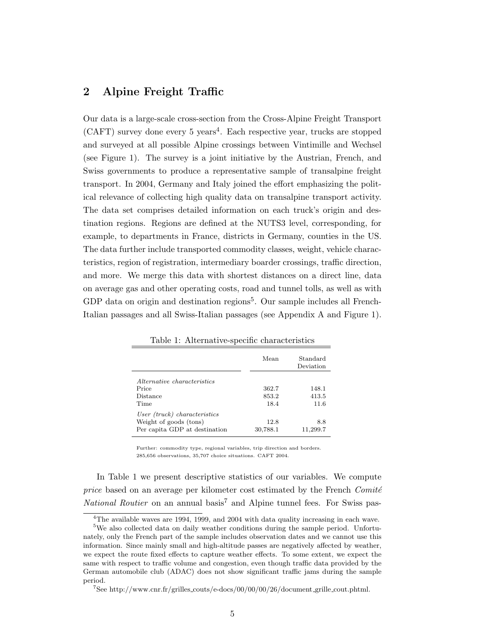### 2 Alpine Freight Traffic

Our data is a large-scale cross-section from the Cross-Alpine Freight Transport  $(CAFT)$  survey done every 5 years<sup>4</sup>. Each respective year, trucks are stopped and surveyed at all possible Alpine crossings between Vintimille and Wechsel (see Figure 1). The survey is a joint initiative by the Austrian, French, and Swiss governments to produce a representative sample of transalpine freight transport. In 2004, Germany and Italy joined the effort emphasizing the political relevance of collecting high quality data on transalpine transport activity. The data set comprises detailed information on each truck's origin and destination regions. Regions are defined at the NUTS3 level, corresponding, for example, to departments in France, districts in Germany, counties in the US. The data further include transported commodity classes, weight, vehicle characteristics, region of registration, intermediary boarder crossings, traffic direction, and more. We merge this data with shortest distances on a direct line, data on average gas and other operating costs, road and tunnel tolls, as well as with GDP data on origin and destination regions<sup>5</sup>. Our sample includes all French-Italian passages and all Swiss-Italian passages (see Appendix A and Figure 1).

|                                    | Mean     | Standard<br>Deviation |
|------------------------------------|----------|-----------------------|
| <i>Alternative characteristics</i> |          |                       |
| Price                              | 362.7    | 148.1                 |
| Distance                           | 853.2    | 413.5                 |
| Time                               | 18.4     | 11.6                  |
| User (truck) characteristics       |          |                       |
| Weight of goods (tons)             | 12.8     | 8.8                   |
| Per capita GDP at destination      | 30,788.1 | 11,299.7              |

Table 1: Alternative-specific characteristics

Further: commodity type, regional variables, trip direction and borders. 285,656 observations, 35,707 choice situations. CAFT 2004.

In Table 1 we present descriptive statistics of our variables. We compute price based on an average per kilometer cost estimated by the French  $Comit\acute{e}$ *National Routier* on an annual basis<sup>7</sup> and Alpine tunnel fees. For Swiss pas-

 $4$ The available waves are 1994, 1999, and 2004 with data quality increasing in each wave.

<sup>5</sup>We also collected data on daily weather conditions during the sample period. Unfortunately, only the French part of the sample includes observation dates and we cannot use this information. Since mainly small and high-altitude passes are negatively affected by weather, we expect the route fixed effects to capture weather effects. To some extent, we expect the same with respect to traffic volume and congestion, even though traffic data provided by the German automobile club (ADAC) does not show significant traffic jams during the sample period.

<sup>7</sup>See http://www.cnr.fr/grilles couts/e-docs/00/00/00/26/document grille cout.phtml.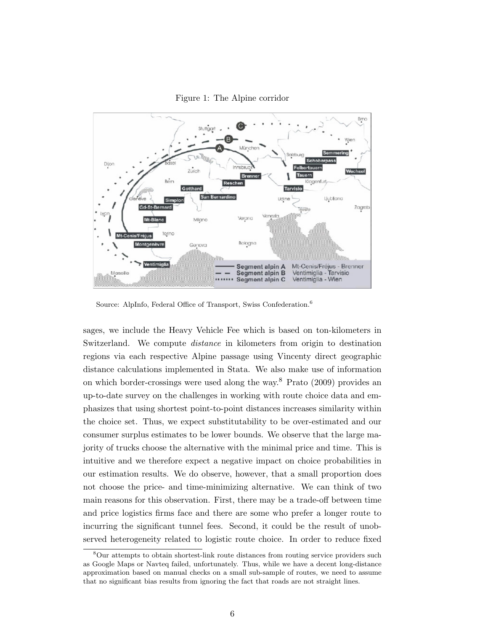



Source: AlpInfo, Federal Office of Transport, Swiss Confederation.<sup>6</sup>

sages, we include the Heavy Vehicle Fee which is based on ton-kilometers in Switzerland. We compute distance in kilometers from origin to destination regions via each respective Alpine passage using Vincenty direct geographic distance calculations implemented in Stata. We also make use of information on which border-crossings were used along the way.<sup>8</sup> Prato (2009) provides an up-to-date survey on the challenges in working with route choice data and emphasizes that using shortest point-to-point distances increases similarity within the choice set. Thus, we expect substitutability to be over-estimated and our consumer surplus estimates to be lower bounds. We observe that the large majority of trucks choose the alternative with the minimal price and time. This is intuitive and we therefore expect a negative impact on choice probabilities in our estimation results. We do observe, however, that a small proportion does not choose the price- and time-minimizing alternative. We can think of two main reasons for this observation. First, there may be a trade-off between time and price logistics firms face and there are some who prefer a longer route to incurring the significant tunnel fees. Second, it could be the result of unobserved heterogeneity related to logistic route choice. In order to reduce fixed

<sup>&</sup>lt;sup>8</sup>Our attempts to obtain shortest-link route distances from routing service providers such as Google Maps or Navteq failed, unfortunately. Thus, while we have a decent long-distance approximation based on manual checks on a small sub-sample of routes, we need to assume that no significant bias results from ignoring the fact that roads are not straight lines.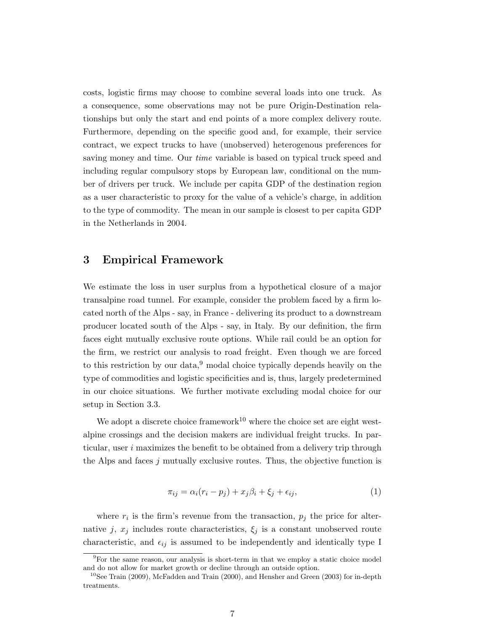costs, logistic firms may choose to combine several loads into one truck. As a consequence, some observations may not be pure Origin-Destination relationships but only the start and end points of a more complex delivery route. Furthermore, depending on the specific good and, for example, their service contract, we expect trucks to have (unobserved) heterogenous preferences for saving money and time. Our *time* variable is based on typical truck speed and including regular compulsory stops by European law, conditional on the number of drivers per truck. We include per capita GDP of the destination region as a user characteristic to proxy for the value of a vehicle's charge, in addition to the type of commodity. The mean in our sample is closest to per capita GDP in the Netherlands in 2004.

### 3 Empirical Framework

We estimate the loss in user surplus from a hypothetical closure of a major transalpine road tunnel. For example, consider the problem faced by a firm located north of the Alps - say, in France - delivering its product to a downstream producer located south of the Alps - say, in Italy. By our definition, the firm faces eight mutually exclusive route options. While rail could be an option for the firm, we restrict our analysis to road freight. Even though we are forced to this restriction by our data, $9 \mod 8$  hoice typically depends heavily on the type of commodities and logistic specificities and is, thus, largely predetermined in our choice situations. We further motivate excluding modal choice for our setup in Section 3.3.

We adopt a discrete choice framework<sup>10</sup> where the choice set are eight westalpine crossings and the decision makers are individual freight trucks. In particular, user  $i$  maximizes the benefit to be obtained from a delivery trip through the Alps and faces j mutually exclusive routes. Thus, the objective function is

$$
\pi_{ij} = \alpha_i (r_i - p_j) + x_j \beta_i + \xi_j + \epsilon_{ij},\tag{1}
$$

where  $r_i$  is the firm's revenue from the transaction,  $p_j$  the price for alternative j,  $x_j$  includes route characteristics,  $\xi_j$  is a constant unobserved route characteristic, and  $\epsilon_{ij}$  is assumed to be independently and identically type I

 $9$ For the same reason, our analysis is short-term in that we employ a static choice model and do not allow for market growth or decline through an outside option.

 $10$ See Train (2009), McFadden and Train (2000), and Hensher and Green (2003) for in-depth treatments.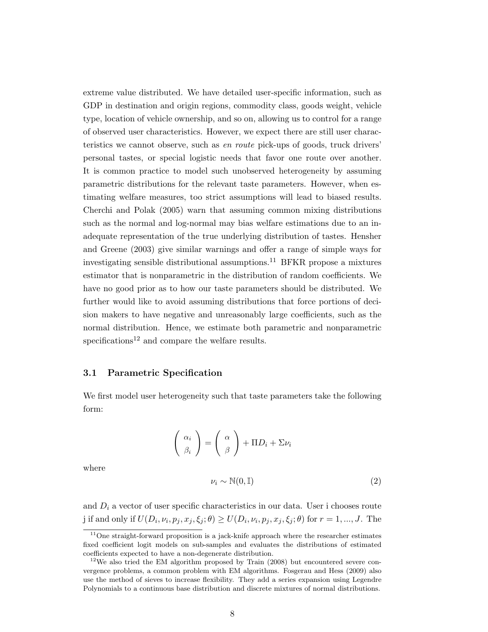extreme value distributed. We have detailed user-specific information, such as GDP in destination and origin regions, commodity class, goods weight, vehicle type, location of vehicle ownership, and so on, allowing us to control for a range of observed user characteristics. However, we expect there are still user characteristics we cannot observe, such as en route pick-ups of goods, truck drivers' personal tastes, or special logistic needs that favor one route over another. It is common practice to model such unobserved heterogeneity by assuming parametric distributions for the relevant taste parameters. However, when estimating welfare measures, too strict assumptions will lead to biased results. Cherchi and Polak (2005) warn that assuming common mixing distributions such as the normal and log-normal may bias welfare estimations due to an inadequate representation of the true underlying distribution of tastes. Hensher and Greene (2003) give similar warnings and offer a range of simple ways for investigating sensible distributional assumptions.<sup>11</sup> BFKR propose a mixtures estimator that is nonparametric in the distribution of random coefficients. We have no good prior as to how our taste parameters should be distributed. We further would like to avoid assuming distributions that force portions of decision makers to have negative and unreasonably large coefficients, such as the normal distribution. Hence, we estimate both parametric and nonparametric specifications<sup>12</sup> and compare the welfare results.

#### 3.1 Parametric Specification

We first model user heterogeneity such that taste parameters take the following form:

$$
\left(\begin{array}{c} \alpha_i \\ \beta_i \end{array}\right) = \left(\begin{array}{c} \alpha \\ \beta \end{array}\right) + \Pi D_i + \Sigma \nu_i
$$

where

$$
\nu_i \sim \mathbb{N}(0, \mathbb{I})\tag{2}
$$

and  $D_i$  a vector of user specific characteristics in our data. User i chooses route j if and only if  $U(D_i, \nu_i, p_j, x_j, \xi_j; \theta) \ge U(D_i, \nu_i, p_j, x_j, \xi_j; \theta)$  for  $r = 1, ..., J$ . The

 $11$ One straight-forward proposition is a jack-knife approach where the researcher estimates fixed coefficient logit models on sub-samples and evaluates the distributions of estimated coefficients expected to have a non-degenerate distribution.

 $12$ We also tried the EM algorithm proposed by Train (2008) but encountered severe convergence problems, a common problem with EM algorithms. Fosgerau and Hess (2009) also use the method of sieves to increase flexibility. They add a series expansion using Legendre Polynomials to a continuous base distribution and discrete mixtures of normal distributions.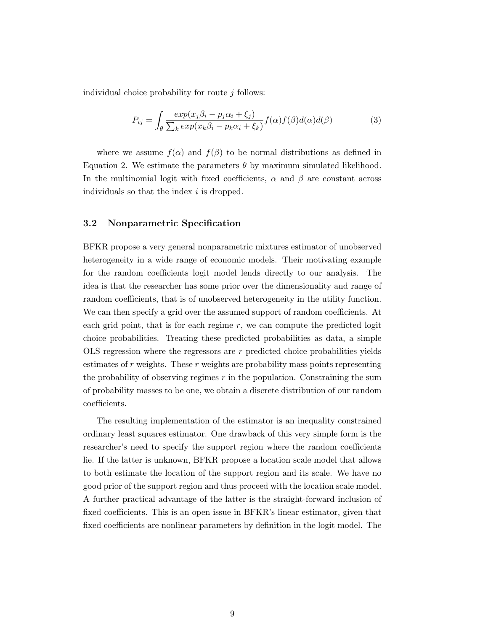individual choice probability for route  $i$  follows:

$$
P_{ij} = \int_{\theta} \frac{exp(x_j \beta_i - p_j \alpha_i + \xi_j)}{\sum_k exp(x_k \beta_i - p_k \alpha_i + \xi_k)} f(\alpha) f(\beta) d(\alpha) d(\beta)
$$
(3)

where we assume  $f(\alpha)$  and  $f(\beta)$  to be normal distributions as defined in Equation 2. We estimate the parameters  $\theta$  by maximum simulated likelihood. In the multinomial logit with fixed coefficients,  $\alpha$  and  $\beta$  are constant across individuals so that the index i is dropped.

#### 3.2 Nonparametric Specification

BFKR propose a very general nonparametric mixtures estimator of unobserved heterogeneity in a wide range of economic models. Their motivating example for the random coefficients logit model lends directly to our analysis. The idea is that the researcher has some prior over the dimensionality and range of random coefficients, that is of unobserved heterogeneity in the utility function. We can then specify a grid over the assumed support of random coefficients. At each grid point, that is for each regime  $r$ , we can compute the predicted logit choice probabilities. Treating these predicted probabilities as data, a simple OLS regression where the regressors are  $r$  predicted choice probabilities yields estimates of  $r$  weights. These  $r$  weights are probability mass points representing the probability of observing regimes  $r$  in the population. Constraining the sum of probability masses to be one, we obtain a discrete distribution of our random coefficients.

The resulting implementation of the estimator is an inequality constrained ordinary least squares estimator. One drawback of this very simple form is the researcher's need to specify the support region where the random coefficients lie. If the latter is unknown, BFKR propose a location scale model that allows to both estimate the location of the support region and its scale. We have no good prior of the support region and thus proceed with the location scale model. A further practical advantage of the latter is the straight-forward inclusion of fixed coefficients. This is an open issue in BFKR's linear estimator, given that fixed coefficients are nonlinear parameters by definition in the logit model. The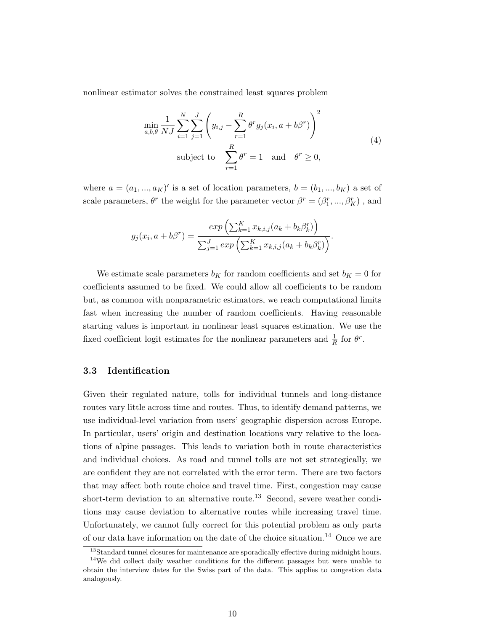nonlinear estimator solves the constrained least squares problem

$$
\min_{a,b,\theta} \frac{1}{NJ} \sum_{i=1}^{N} \sum_{j=1}^{J} \left( y_{i,j} - \sum_{r=1}^{R} \theta^r g_j(x_i, a + b\beta^r) \right)^2
$$
\n
$$
\text{subject to } \sum_{r=1}^{R} \theta^r = 1 \quad \text{and} \quad \theta^r \ge 0,
$$
\n
$$
(4)
$$

where  $a = (a_1, ..., a_K)'$  is a set of location parameters,  $b = (b_1, ..., b_K)$  a set of scale parameters,  $\theta^r$  the weight for the parameter vector  $\beta^r = (\beta^r_1,...,\beta^r_K)$  , and

$$
g_j(x_i, a + b\beta^r) = \frac{exp\left(\sum_{k=1}^K x_{k,i,j}(a_k + b_k \beta_k^r)\right)}{\sum_{j=1}^J exp\left(\sum_{k=1}^K x_{k,i,j}(a_k + b_k \beta_k^r)\right)}.
$$

We estimate scale parameters  $b_K$  for random coefficients and set  $b_K = 0$  for coefficients assumed to be fixed. We could allow all coefficients to be random but, as common with nonparametric estimators, we reach computational limits fast when increasing the number of random coefficients. Having reasonable starting values is important in nonlinear least squares estimation. We use the fixed coefficient logit estimates for the nonlinear parameters and  $\frac{1}{R}$  for  $\theta^r$ .

#### 3.3 Identification

Given their regulated nature, tolls for individual tunnels and long-distance routes vary little across time and routes. Thus, to identify demand patterns, we use individual-level variation from users' geographic dispersion across Europe. In particular, users' origin and destination locations vary relative to the locations of alpine passages. This leads to variation both in route characteristics and individual choices. As road and tunnel tolls are not set strategically, we are confident they are not correlated with the error term. There are two factors that may affect both route choice and travel time. First, congestion may cause short-term deviation to an alternative route.<sup>13</sup> Second, severe weather conditions may cause deviation to alternative routes while increasing travel time. Unfortunately, we cannot fully correct for this potential problem as only parts of our data have information on the date of the choice situation.<sup>14</sup> Once we are

<sup>&</sup>lt;sup>13</sup>Standard tunnel closures for maintenance are sporadically effective during midnight hours.

<sup>&</sup>lt;sup>14</sup>We did collect daily weather conditions for the different passages but were unable to obtain the interview dates for the Swiss part of the data. This applies to congestion data analogously.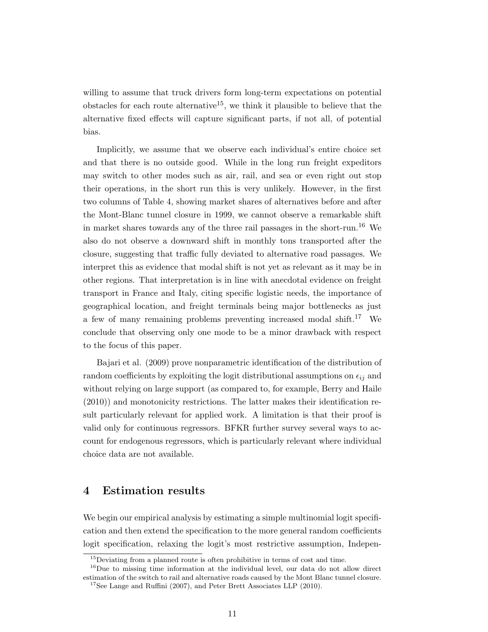willing to assume that truck drivers form long-term expectations on potential obstacles for each route alternative<sup>15</sup>, we think it plausible to believe that the alternative fixed effects will capture significant parts, if not all, of potential bias.

Implicitly, we assume that we observe each individual's entire choice set and that there is no outside good. While in the long run freight expeditors may switch to other modes such as air, rail, and sea or even right out stop their operations, in the short run this is very unlikely. However, in the first two columns of Table 4, showing market shares of alternatives before and after the Mont-Blanc tunnel closure in 1999, we cannot observe a remarkable shift in market shares towards any of the three rail passages in the short-run.<sup>16</sup> We also do not observe a downward shift in monthly tons transported after the closure, suggesting that traffic fully deviated to alternative road passages. We interpret this as evidence that modal shift is not yet as relevant as it may be in other regions. That interpretation is in line with anecdotal evidence on freight transport in France and Italy, citing specific logistic needs, the importance of geographical location, and freight terminals being major bottlenecks as just a few of many remaining problems preventing increased modal shift.<sup>17</sup> We conclude that observing only one mode to be a minor drawback with respect to the focus of this paper.

Bajari et al. (2009) prove nonparametric identification of the distribution of random coefficients by exploiting the logit distributional assumptions on  $\epsilon_{ij}$  and without relying on large support (as compared to, for example, Berry and Haile (2010)) and monotonicity restrictions. The latter makes their identification result particularly relevant for applied work. A limitation is that their proof is valid only for continuous regressors. BFKR further survey several ways to account for endogenous regressors, which is particularly relevant where individual choice data are not available.

### 4 Estimation results

We begin our empirical analysis by estimating a simple multinomial logit specification and then extend the specification to the more general random coefficients logit specification, relaxing the logit's most restrictive assumption, Indepen-

<sup>&</sup>lt;sup>15</sup>Deviating from a planned route is often prohibitive in terms of cost and time.

<sup>16</sup>Due to missing time information at the individual level, our data do not allow direct estimation of the switch to rail and alternative roads caused by the Mont Blanc tunnel closure.

<sup>&</sup>lt;sup>17</sup>See Lange and Ruffini (2007), and Peter Brett Associates LLP (2010).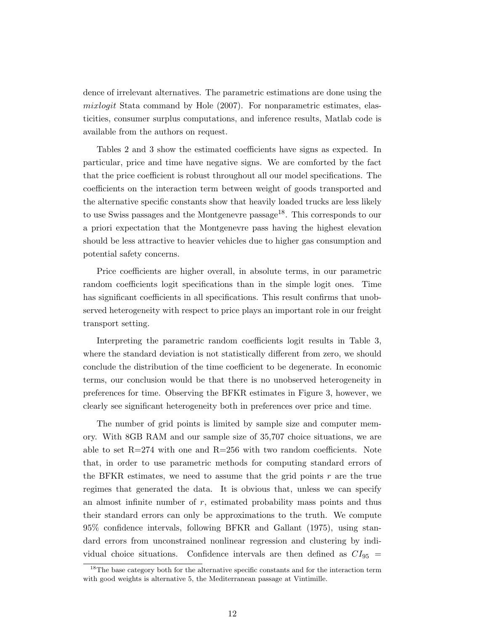dence of irrelevant alternatives. The parametric estimations are done using the mixlogit Stata command by Hole (2007). For nonparametric estimates, elasticities, consumer surplus computations, and inference results, Matlab code is available from the authors on request.

Tables 2 and 3 show the estimated coefficients have signs as expected. In particular, price and time have negative signs. We are comforted by the fact that the price coefficient is robust throughout all our model specifications. The coefficients on the interaction term between weight of goods transported and the alternative specific constants show that heavily loaded trucks are less likely to use Swiss passages and the Montgenevre passage<sup>18</sup>. This corresponds to our a priori expectation that the Montgenevre pass having the highest elevation should be less attractive to heavier vehicles due to higher gas consumption and potential safety concerns.

Price coefficients are higher overall, in absolute terms, in our parametric random coefficients logit specifications than in the simple logit ones. Time has significant coefficients in all specifications. This result confirms that unobserved heterogeneity with respect to price plays an important role in our freight transport setting.

Interpreting the parametric random coefficients logit results in Table 3, where the standard deviation is not statistically different from zero, we should conclude the distribution of the time coefficient to be degenerate. In economic terms, our conclusion would be that there is no unobserved heterogeneity in preferences for time. Observing the BFKR estimates in Figure 3, however, we clearly see significant heterogeneity both in preferences over price and time.

The number of grid points is limited by sample size and computer memory. With 8GB RAM and our sample size of 35,707 choice situations, we are able to set  $R=274$  with one and  $R=256$  with two random coefficients. Note that, in order to use parametric methods for computing standard errors of the BFKR estimates, we need to assume that the grid points  $r$  are the true regimes that generated the data. It is obvious that, unless we can specify an almost infinite number of  $r$ , estimated probability mass points and thus their standard errors can only be approximations to the truth. We compute 95% confidence intervals, following BFKR and Gallant (1975), using standard errors from unconstrained nonlinear regression and clustering by individual choice situations. Confidence intervals are then defined as  $CI_{95}$  =

<sup>&</sup>lt;sup>18</sup>The base category both for the alternative specific constants and for the interaction term with good weights is alternative 5, the Mediterranean passage at Vintimille.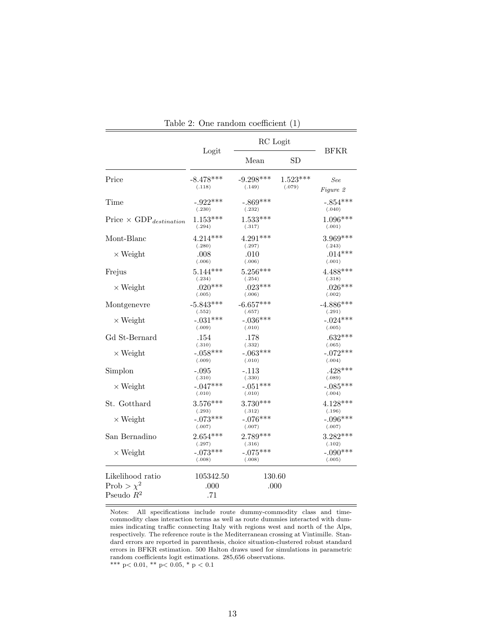|                                           | RC Logit              |                       |                      |                       |  |
|-------------------------------------------|-----------------------|-----------------------|----------------------|-----------------------|--|
|                                           | Logit                 | Mean                  | SD                   | <b>BFKR</b>           |  |
| Price                                     | $-8.478***$<br>(.118) | $-9.298***$<br>(.149) | $1.523***$<br>(.079) | See<br>Figure 2       |  |
| Time                                      | $-.922***$<br>(.230)  | $-.869***$<br>(.232)  |                      | $-.854***$<br>(.040)  |  |
| Price $\times$ GDP <sub>destination</sub> | $1.153***$<br>(.294)  | $1.533***$<br>(.317)  |                      | $1.096***$<br>(.001)  |  |
| Mont-Blanc                                | $4.214***$<br>(.280)  | $4.291***$<br>(.297)  |                      | $3.969***$<br>(.243)  |  |
| $\times$ Weight                           | .008<br>(.006)        | .010<br>(.006)        |                      | $.014***$<br>(.001)   |  |
| Frejus                                    | $5.144***$<br>(.234)  | $5.256***$<br>(.254)  |                      | $4.488***$<br>(.318)  |  |
| $\times$ Weight                           | $.020***$<br>(.005)   | $.023***$<br>(.006)   |                      | $.026***$<br>(.002)   |  |
| Montgenevre                               | $-5.843***$<br>(.552) | $-6.657***$<br>(.657) |                      | $-4.886***$<br>(.291) |  |
| $\times$ Weight                           | $-.031***$<br>(.009)  | $-.036***$<br>(.010)  |                      | $-.024***$<br>(.005)  |  |
| Gd St-Bernard                             | .154<br>(.310)        | .178<br>(.332)        |                      | $.632***$<br>(.065)   |  |
| $\times$ Weight                           | $-.058***$<br>(.009)  | $-.063***$<br>(.010)  |                      | $-.072***$<br>(.004)  |  |
| Simplon                                   | $-.095$<br>(.310)     | $-.113$<br>(.330)     |                      | $.428***$<br>(.089)   |  |
| $\times$ Weight                           | $-.047***$<br>(.010)  | $-.051***$<br>(.010)  |                      | $-.085***$<br>(.004)  |  |
| St. Gotthard                              | $3.576***$<br>(.293)  | $3.730***$<br>(.312)  |                      | $4.128***$<br>(.196)  |  |
| $\times$ Weight                           | $-.073***$<br>(.007)  | $-.076***$<br>(.007)  |                      | $-.096***$<br>(.007)  |  |
| San Bernadino                             | $2.654***$<br>(.297)  | $2.789***$<br>(.316)  |                      | $3.282***$<br>(.102)  |  |
| $\times$ Weight                           | $-.073***$<br>(.008)  | $-.075***$<br>(.008)  |                      | $-.090***$<br>(.005)  |  |
| Likelihood ratio                          | 105342.50             | 130.60                |                      |                       |  |
| Prob > $\chi^2$<br>Pseudo $R^2$           | .000<br>.71           | .000                  |                      |                       |  |
|                                           |                       |                       |                      |                       |  |

Table 2: One random coefficient (1)

Notes: All specifications include route dummy-commodity class and timecommodity class interaction terms as well as route dummies interacted with dummies indicating traffic connecting Italy with regions west and north of the Alps, respectively. The reference route is the Mediterranean crossing at Vintimille. Standard errors are reported in parenthesis, choice situation-clustered robust standard errors in BFKR estimation. 500 Halton draws used for simulations in parametric random coefficients logit estimations. 285,656 observations.  $\rm{***}$  p< 0.01,  $\rm{**}$  p< 0.05,  $\rm{*}$  p  $<$  0.1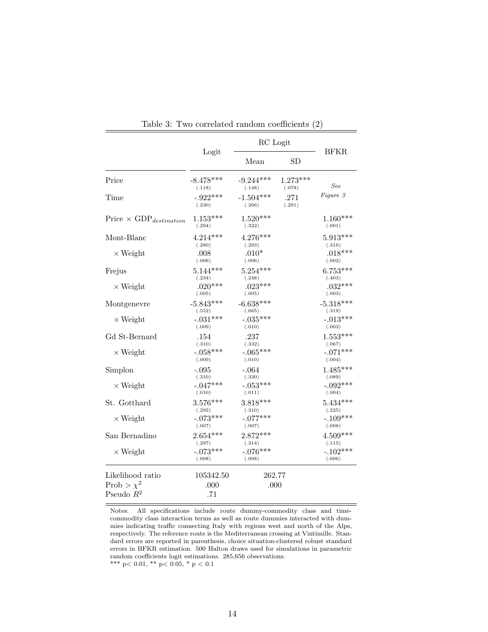|                                           | RC Logit              |                       |                      |                       |
|-------------------------------------------|-----------------------|-----------------------|----------------------|-----------------------|
|                                           | Logit                 | Mean                  | <b>SD</b>            | <b>BFKR</b>           |
| Price                                     | $-8.478***$<br>(.118) | $-9.244***$<br>(.148) | $1.273***$<br>(.078) | See                   |
| Time                                      | $-.922***$<br>(.230)  | $-1.504***$<br>(.266) | .271<br>(.291)       | Figure 3              |
| Price $\times$ GDP <sub>destination</sub> | $1.153***$<br>(.294)  | $1.520***$<br>(.322)  |                      | $1.160***$<br>(.001)  |
| Mont-Blanc                                | $4.214***$<br>(.280)  | 4.276***<br>(.293)    |                      | $5.913***$<br>(.316)  |
| $\times$ Weight                           | .008<br>(.006)        | $.010*$<br>(.006)     |                      | $.018***$<br>(.002)   |
| Frejus                                    | $5.144***$<br>(.234)  | $5.254***$<br>(.248)  |                      | $6.753***$<br>(.403)  |
| $\times$ Weight                           | $.020***$<br>(.005)   | $.023***$<br>(.005)   |                      | $.032***$<br>(.003)   |
| Montgenevre                               | $-5.843***$<br>(.552) | $-6.638***$<br>(.665) |                      | $-5.318***$<br>(.319) |
| $\times$ Weight                           | $-.031***$<br>(.009)  | $-.035***$<br>(.010)  |                      | $-.013***$<br>(.003)  |
| Gd St-Bernard                             | .154<br>(.310)        | .237<br>(.332)        |                      | $1.553***$<br>(.067)  |
| $\times$ Weight                           | $-.058***$<br>(.009)  | $-.065***$<br>(.010)  |                      | $-.071***$<br>(.004)  |
| Simplon                                   | -.095<br>(.310)       | $-.064$<br>(.330)     |                      | $1.485***$<br>(.089)  |
| $\times$ Weight                           | $-.047***$<br>(.010)  | $-.053***$<br>(.011)  |                      | $-.092***$<br>(.004)  |
| St. Gotthard                              | 3.576***<br>(.293)    | $3.818***$<br>(.310)  |                      | $5.434***$<br>(.225)  |
| $\times$ Weight                           | $-.073***$<br>(.007)  | $-.077***$<br>(.007)  |                      | $-.109***$<br>(.008)  |
| San Bernadino                             | $2.654***$<br>(.297)  | $2.872***$<br>(.314)  |                      | $4.509***$<br>(.115)  |
| $\times$ Weight                           | $-.073***$<br>(.008)  | $-.076***$<br>(.008)  |                      | $-.102***$<br>(.006)  |
| Likelihood ratio                          | 105342.50             | 262.77                |                      |                       |
| Prob > $\chi^2$<br>Pseudo $\mathbb{R}^2$  | .000<br>.71           | .000                  |                      |                       |

Table 3: Two correlated random coefficients (2)

Notes: All specifications include route dummy-commodity class and timecommodity class interaction terms as well as route dummies interacted with dummies indicating traffic connecting Italy with regions west and north of the Alps, respectively. The reference route is the Mediterranean crossing at Vintimille. Standard errors are reported in parenthesis, choice situation-clustered robust standard errors in BFKR estimation. 500 Halton draws used for simulations in parametric random coefficients logit estimations. 285,656 observations. \*\*\* p< 0.01, \*\* p< 0.05, \* p < 0.1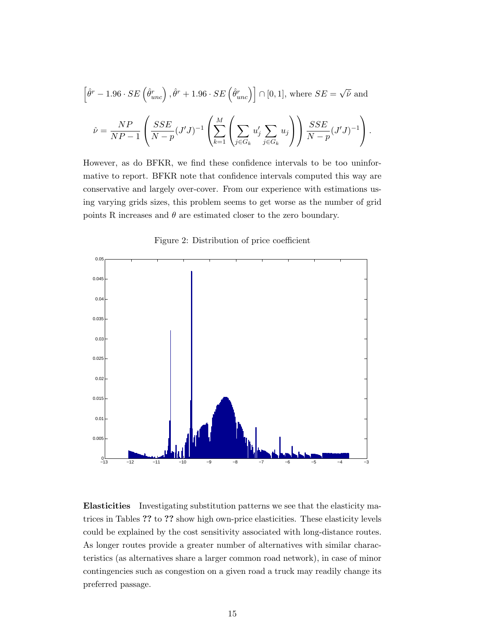$$
\left[\hat{\theta}^r - 1.96 \cdot SE\left(\hat{\theta}^r_{unc}\right), \hat{\theta}^r + 1.96 \cdot SE\left(\hat{\theta}^r_{unc}\right)\right] \cap [0, 1], \text{ where } SE = \sqrt{\hat{\nu}} \text{ and}
$$

$$
\hat{\nu} = \frac{NP}{NP - 1} \left( \frac{SSE}{N - p} (J'J)^{-1} \left( \sum_{k=1}^M \left( \sum_{j \in G_k} u'_j \sum_{j \in G_k} u_j \right) \right) \frac{SSE}{N - p} (J'J)^{-1} \right).
$$

However, as do BFKR, we find these confidence intervals to be too uninformative to report. BFKR note that confidence intervals computed this way are conservative and largely over-cover. From our experience with estimations using varying grids sizes, this problem seems to get worse as the number of grid points R increases and  $\theta$  are estimated closer to the zero boundary.

Figure 2: Distribution of price coefficient



Elasticities Investigating substitution patterns we see that the elasticity matrices in Tables ?? to ?? show high own-price elasticities. These elasticity levels could be explained by the cost sensitivity associated with long-distance routes. As longer routes provide a greater number of alternatives with similar characteristics (as alternatives share a larger common road network), in case of minor contingencies such as congestion on a given road a truck may readily change its preferred passage.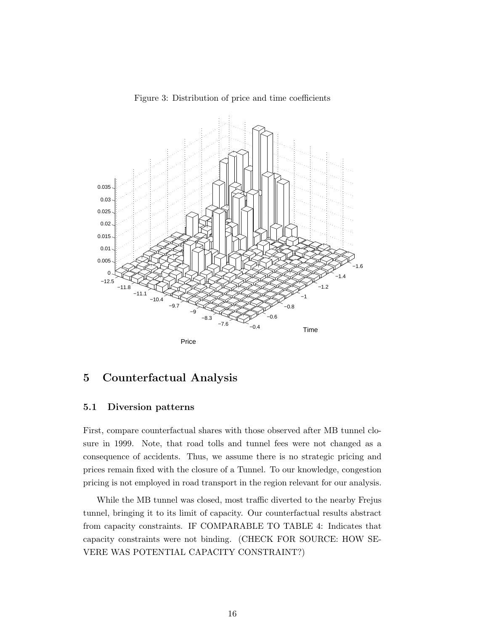

Figure 3: Distribution of price and time coefficients

### 5 Counterfactual Analysis

#### 5.1 Diversion patterns

First, compare counterfactual shares with those observed after MB tunnel closure in 1999. Note, that road tolls and tunnel fees were not changed as a consequence of accidents. Thus, we assume there is no strategic pricing and prices remain fixed with the closure of a Tunnel. To our knowledge, congestion pricing is not employed in road transport in the region relevant for our analysis.

While the MB tunnel was closed, most traffic diverted to the nearby Frejus tunnel, bringing it to its limit of capacity. Our counterfactual results abstract from capacity constraints. IF COMPARABLE TO TABLE 4: Indicates that capacity constraints were not binding. (CHECK FOR SOURCE: HOW SE-VERE WAS POTENTIAL CAPACITY CONSTRAINT?)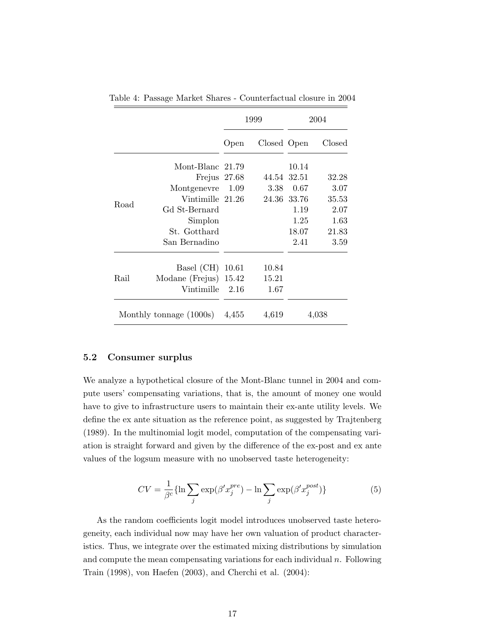|      |                                 | 1999  |             | 2004                |        |
|------|---------------------------------|-------|-------------|---------------------|--------|
|      |                                 | Open  | Closed Open |                     | Closed |
|      | Mont-Blanc 21.79                |       |             | 10.14               |        |
|      | Frejus 27.68                    |       | 44.54       | 32.51               | 32.28  |
|      | Montgenevre<br>Vintimille 21.26 | 1.09  | 3.38        | 0.67<br>24.36 33.76 | 3.07   |
|      |                                 |       |             |                     | 35.53  |
| Road | Gd St-Bernard                   |       |             | 1.19                | 2.07   |
|      | Simplon                         |       |             | 1.25                | 1.63   |
|      | St. Gotthard                    |       |             | 18.07               | 21.83  |
|      | San Bernadino                   |       |             | 2.41                | 3.59   |
| Rail | Basel (CH) 10.61                |       | 10.84       |                     |        |
|      | Modane (Frejus) $15.42$         |       | 15.21       |                     |        |
|      | Vintimille                      | 2.16  | 1.67        |                     |        |
|      | Monthly tonnage (1000s)         | 4,455 | 4,619       |                     | 4,038  |

Table 4: Passage Market Shares - Counterfactual closure in 2004

#### 5.2 Consumer surplus

We analyze a hypothetical closure of the Mont-Blanc tunnel in 2004 and compute users' compensating variations, that is, the amount of money one would have to give to infrastructure users to maintain their ex-ante utility levels. We define the ex ante situation as the reference point, as suggested by Trajtenberg (1989). In the multinomial logit model, computation of the compensating variation is straight forward and given by the difference of the ex-post and ex ante values of the logsum measure with no unobserved taste heterogeneity:

$$
CV = \frac{1}{\beta^c} \{ \ln \sum_j \exp(\beta' x_j^{pre}) - \ln \sum_j \exp(\beta' x_j^{post}) \}
$$
(5)

As the random coefficients logit model introduces unobserved taste heterogeneity, each individual now may have her own valuation of product characteristics. Thus, we integrate over the estimated mixing distributions by simulation and compute the mean compensating variations for each individual  $n$ . Following Train (1998), von Haefen (2003), and Cherchi et al. (2004):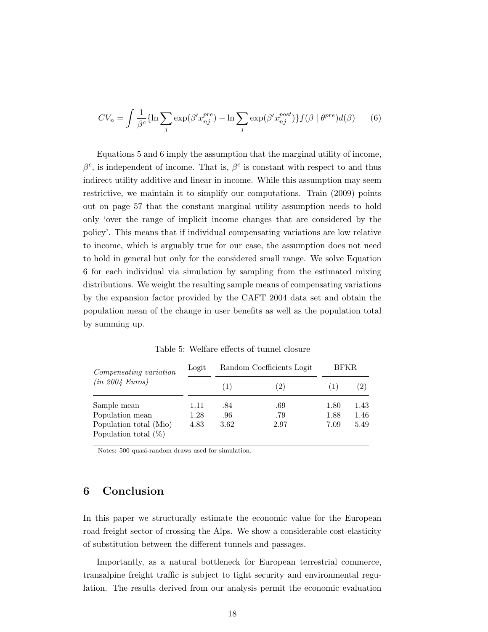$$
CV_n = \int \frac{1}{\beta^c} \{ \ln \sum_j \exp(\beta' x_{nj}^{pre}) - \ln \sum_j \exp(\beta' x_{nj}^{post}) \} f(\beta \mid \theta^{pre}) d(\beta) \tag{6}
$$

Equations 5 and 6 imply the assumption that the marginal utility of income,  $\beta^c$ , is independent of income. That is,  $\beta^c$  is constant with respect to and thus indirect utility additive and linear in income. While this assumption may seem restrictive, we maintain it to simplify our computations. Train (2009) points out on page 57 that the constant marginal utility assumption needs to hold only 'over the range of implicit income changes that are considered by the policy'. This means that if individual compensating variations are low relative to income, which is arguably true for our case, the assumption does not need to hold in general but only for the considered small range. We solve Equation 6 for each individual via simulation by sampling from the estimated mixing distributions. We weight the resulting sample means of compensating variations by the expansion factor provided by the CAFT 2004 data set and obtain the population mean of the change in user benefits as well as the population total by summing up.

| Compensating variation                            | Logit | Random Coefficients Logit |      | <b>BFKR</b> |      |
|---------------------------------------------------|-------|---------------------------|------|-------------|------|
| (in 2004 Euros)                                   |       | (1)                       | (2)  |             | (2)  |
| Sample mean                                       | 1.11  | .84                       | .69  | 1.80        | 1.43 |
| Population mean                                   | 1.28  | .96                       | .79  | 1.88        | 1.46 |
| Population total (Mio)<br>Population total $(\%)$ | 4.83  | 3.62                      | 2.97 | 7.09        | 5.49 |

Table 5: Welfare effects of tunnel closure

Notes: 500 quasi-random draws used for simulation.

### 6 Conclusion

In this paper we structurally estimate the economic value for the European road freight sector of crossing the Alps. We show a considerable cost-elasticity of substitution between the different tunnels and passages.

Importantly, as a natural bottleneck for European terrestrial commerce, transalpine freight traffic is subject to tight security and environmental regulation. The results derived from our analysis permit the economic evaluation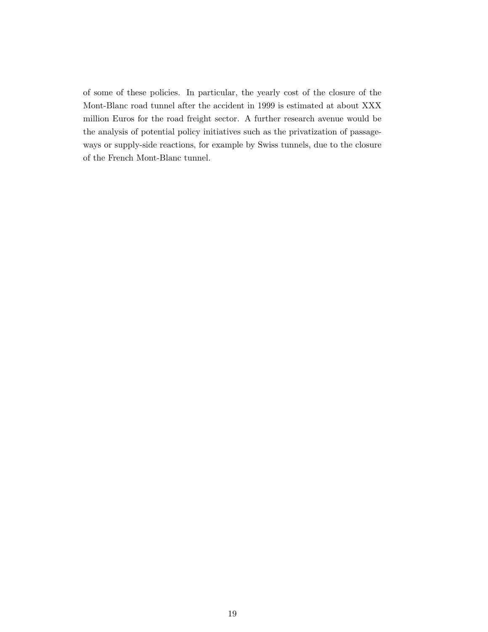of some of these policies. In particular, the yearly cost of the closure of the Mont-Blanc road tunnel after the accident in 1999 is estimated at about XXX million Euros for the road freight sector. A further research avenue would be the analysis of potential policy initiatives such as the privatization of passageways or supply-side reactions, for example by Swiss tunnels, due to the closure of the French Mont-Blanc tunnel.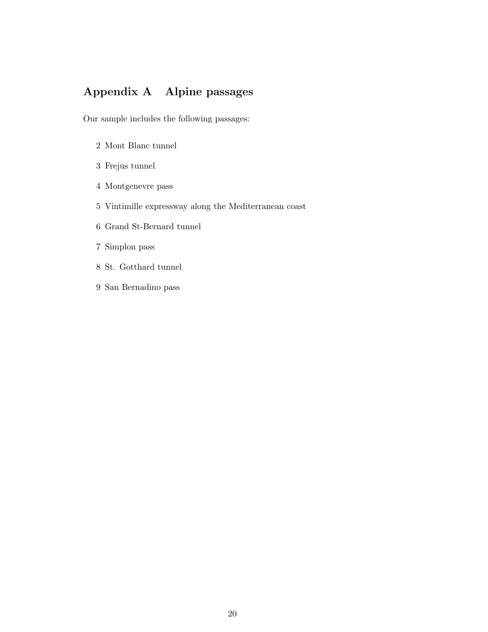## Appendix A Alpine passages

Our sample includes the following passages:

- 2 Mont Blanc tunnel
- 3 Frejus tunnel
- 4 Montgenevre pass
- 5 Vintimille expressway along the Mediterranean coast
- 6 Grand St-Bernard tunnel
- 7 Simplon pass
- 8 St. Gotthard tunnel
- 9 San Bernadino pass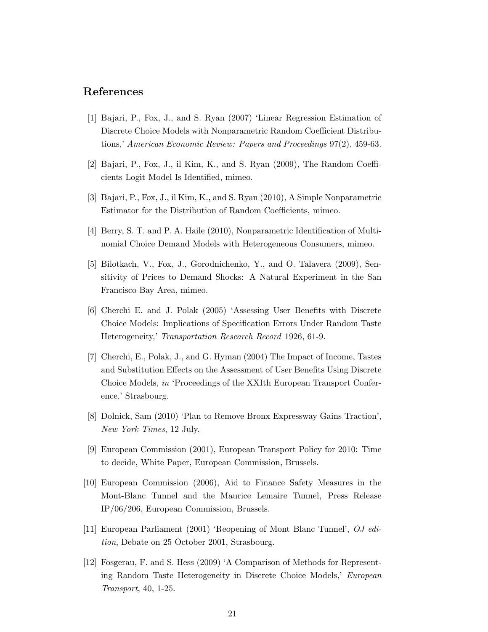### References

- [1] Bajari, P., Fox, J., and S. Ryan (2007) 'Linear Regression Estimation of Discrete Choice Models with Nonparametric Random Coefficient Distributions,' American Economic Review: Papers and Proceedings 97(2), 459-63.
- [2] Bajari, P., Fox, J., il Kim, K., and S. Ryan (2009), The Random Coefficients Logit Model Is Identified, mimeo.
- [3] Bajari, P., Fox, J., il Kim, K., and S. Ryan (2010), A Simple Nonparametric Estimator for the Distribution of Random Coefficients, mimeo.
- [4] Berry, S. T. and P. A. Haile (2010), Nonparametric Identification of Multinomial Choice Demand Models with Heterogeneous Consumers, mimeo.
- [5] Bilotkach, V., Fox, J., Gorodnichenko, Y., and O. Talavera (2009), Sensitivity of Prices to Demand Shocks: A Natural Experiment in the San Francisco Bay Area, mimeo.
- [6] Cherchi E. and J. Polak (2005) 'Assessing User Benefits with Discrete Choice Models: Implications of Specification Errors Under Random Taste Heterogeneity,' Transportation Research Record 1926, 61-9.
- [7] Cherchi, E., Polak, J., and G. Hyman (2004) The Impact of Income, Tastes and Substitution Effects on the Assessment of User Benefits Using Discrete Choice Models, in 'Proceedings of the XXIth European Transport Conference,' Strasbourg.
- [8] Dolnick, Sam (2010) 'Plan to Remove Bronx Expressway Gains Traction', New York Times, 12 July.
- [9] European Commission (2001), European Transport Policy for 2010: Time to decide, White Paper, European Commission, Brussels.
- [10] European Commission (2006), Aid to Finance Safety Measures in the Mont-Blanc Tunnel and the Maurice Lemaire Tunnel, Press Release IP/06/206, European Commission, Brussels.
- [11] European Parliament (2001) 'Reopening of Mont Blanc Tunnel', OJ edition, Debate on 25 October 2001, Strasbourg.
- [12] Fosgerau, F. and S. Hess (2009) 'A Comparison of Methods for Representing Random Taste Heterogeneity in Discrete Choice Models,' European Transport, 40, 1-25.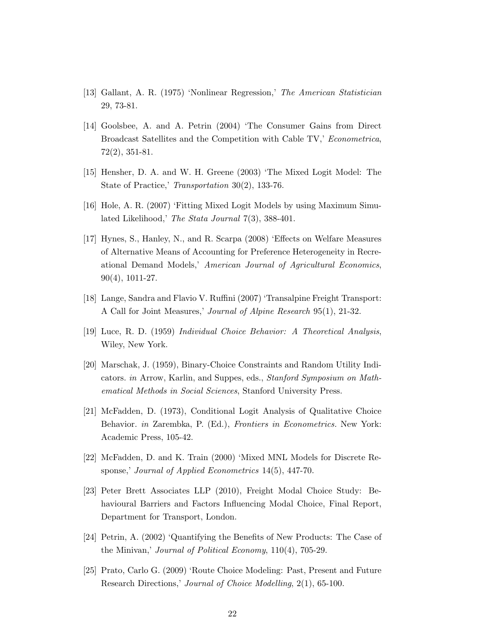- [13] Gallant, A. R. (1975) 'Nonlinear Regression,' The American Statistician 29, 73-81.
- [14] Goolsbee, A. and A. Petrin (2004) 'The Consumer Gains from Direct Broadcast Satellites and the Competition with Cable TV,' Econometrica, 72(2), 351-81.
- [15] Hensher, D. A. and W. H. Greene (2003) 'The Mixed Logit Model: The State of Practice,' Transportation 30(2), 133-76.
- [16] Hole, A. R. (2007) 'Fitting Mixed Logit Models by using Maximum Simulated Likelihood,' The Stata Journal 7(3), 388-401.
- [17] Hynes, S., Hanley, N., and R. Scarpa (2008) 'Effects on Welfare Measures of Alternative Means of Accounting for Preference Heterogeneity in Recreational Demand Models,' American Journal of Agricultural Economics, 90(4), 1011-27.
- [18] Lange, Sandra and Flavio V. Ruffini (2007) 'Transalpine Freight Transport: A Call for Joint Measures,' Journal of Alpine Research 95(1), 21-32.
- [19] Luce, R. D. (1959) Individual Choice Behavior: A Theoretical Analysis, Wiley, New York.
- [20] Marschak, J. (1959), Binary-Choice Constraints and Random Utility Indicators. in Arrow, Karlin, and Suppes, eds., Stanford Symposium on Mathematical Methods in Social Sciences, Stanford University Press.
- [21] McFadden, D. (1973), Conditional Logit Analysis of Qualitative Choice Behavior. in Zarembka, P. (Ed.), Frontiers in Econometrics. New York: Academic Press, 105-42.
- [22] McFadden, D. and K. Train (2000) 'Mixed MNL Models for Discrete Response,' Journal of Applied Econometrics 14(5), 447-70.
- [23] Peter Brett Associates LLP (2010), Freight Modal Choice Study: Behavioural Barriers and Factors Influencing Modal Choice, Final Report, Department for Transport, London.
- [24] Petrin, A. (2002) 'Quantifying the Benefits of New Products: The Case of the Minivan,' Journal of Political Economy, 110(4), 705-29.
- [25] Prato, Carlo G. (2009) 'Route Choice Modeling: Past, Present and Future Research Directions,' Journal of Choice Modelling, 2(1), 65-100.